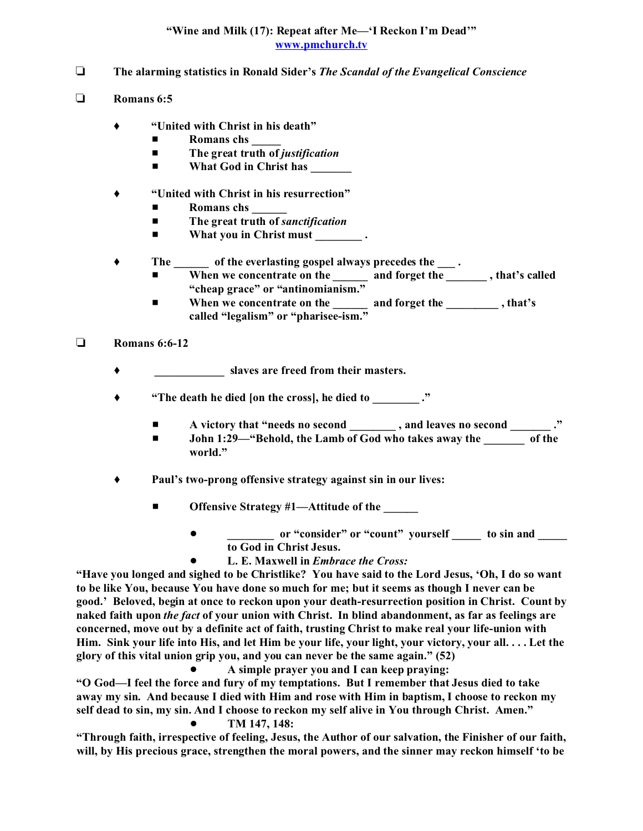## **"Wine and Milk (17): Repeat after Me—'I Reckon I'm Dead'" www.pmchurch.tv**

- **The alarming statistics in Ronald Sider's** *The Scandal of the Evangelical Conscience*
- **Romans 6:5**
	- **"United with Christ in his death"**
		- $\blacksquare$  Romans chs
		- The great truth of *justification*
		- $\blacksquare$  What God in Christ has
	- **"United with Christ in his resurrection"**
		- $\blacksquare$  Romans chs
		- The great truth of *sanctification*
		- What you in Christ must \_\_\_\_\_\_\_\_\_.
	- **The \_\_\_\_\_\_ of the everlasting gospel always precedes the \_\_\_ .**
		- $\blacksquare$  When we concentrate on the \_\_\_\_\_\_\_ and forget the \_\_\_\_\_\_\_\_, that's called **"cheap grace" or "antinomianism."**
		- When we concentrate on the <u>equal on and forget the sequence</u>, that's **called "legalism" or "pharisee-ism."**

## **Romans 6:6-12**

- **\_\_\_\_\_\_\_\_\_\_\_\_ slaves are freed from their masters.**
- **"The death he died [on the cross], he died to \_\_\_\_\_\_\_\_ ."**
	- # **A victory that "needs no second \_\_\_\_\_\_\_\_ , and leaves no second \_\_\_\_\_\_\_ ."**
	- $\blacksquare$  **John** 1:29—"Behold, the Lamb of God who takes away the of the **world."**
- **Paul's two-prong offensive strategy against sin in our lives:**
	- **Offensive Strategy #1—Attitude of the \_\_\_\_\_** 
		- ! **\_\_\_\_\_\_\_\_ or "consider" or "count" yourself \_\_\_\_\_ to sin and \_\_\_\_\_ to God in Christ Jesus.**
			- ! **L. E. Maxwell in** *Embrace the Cross:*

**"Have you longed and sighed to be Christlike? You have said to the Lord Jesus, 'Oh, I do so want to be like You, because You have done so much for me; but it seems as though I never can be good.' Beloved, begin at once to reckon upon your death-resurrection position in Christ. Count by naked faith upon** *the fact* **of your union with Christ. In blind abandonment, as far as feelings are concerned, move out by a definite act of faith, trusting Christ to make real your life-union with Him. Sink your life into His, and let Him be your life, your light, your victory, your all. . . . Let the glory of this vital union grip you, and you can never be the same again." (52)**

! **A simple prayer you and I can keep praying:**

**"O God—I feel the force and fury of my temptations. But I remember that Jesus died to take away my sin. And because I died with Him and rose with Him in baptism, I choose to reckon my self dead to sin, my sin. And I choose to reckon my self alive in You through Christ. Amen."** ! **TM 147, 148:**

**"Through faith, irrespective of feeling, Jesus, the Author of our salvation, the Finisher of our faith, will, by His precious grace, strengthen the moral powers, and the sinner may reckon himself 'to be**